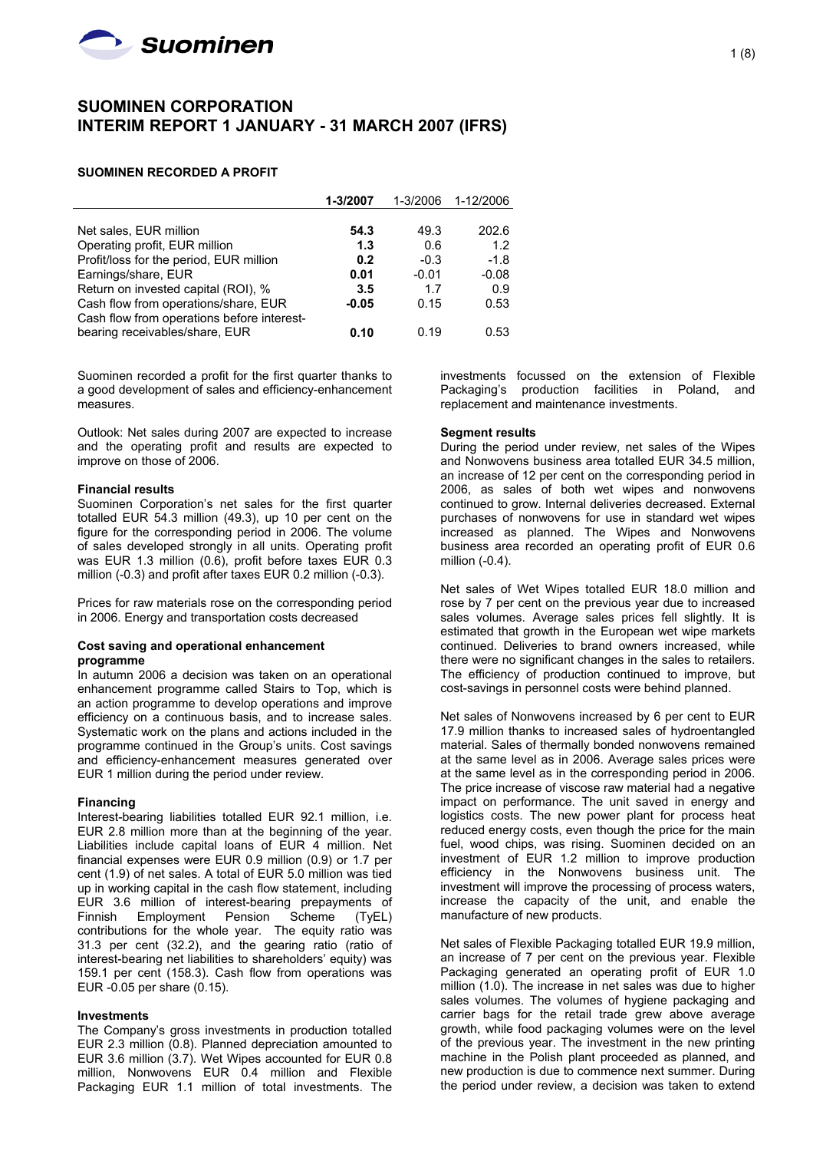

# **SUOMINEN CORPORATION INTERIM REPORT 1 JANUARY - 31 MARCH 2007 (IFRS)**

## **SUOMINEN RECORDED A PROFIT**

|                                            | 1-3/2007 | 1-3/2006 | 1-12/2006 |
|--------------------------------------------|----------|----------|-----------|
|                                            |          |          |           |
| Net sales, EUR million                     | 54.3     | 49.3     | 202.6     |
| Operating profit, EUR million              | 1.3      | 0.6      | 1.2       |
| Profit/loss for the period, EUR million    | 0.2      | $-0.3$   | $-1.8$    |
| Earnings/share, EUR                        | 0.01     | $-0.01$  | $-0.08$   |
| Return on invested capital (ROI), %        | 3.5      | 1.7      | 0.9       |
| Cash flow from operations/share, EUR       | $-0.05$  | 0.15     | 0.53      |
| Cash flow from operations before interest- |          |          |           |
| bearing receivables/share, EUR             | 0.10     | 0.19     | 0.53      |

Suominen recorded a profit for the first quarter thanks to a good development of sales and efficiency-enhancement measures.

Outlook: Net sales during 2007 are expected to increase and the operating profit and results are expected to improve on those of 2006.

### **Financial results**

Suominen Corporation's net sales for the first quarter totalled EUR 54.3 million (49.3), up 10 per cent on the figure for the corresponding period in 2006. The volume of sales developed strongly in all units. Operating profit was EUR 1.3 million (0.6), profit before taxes EUR 0.3 million (-0.3) and profit after taxes EUR 0.2 million (-0.3).

Prices for raw materials rose on the corresponding period in 2006. Energy and transportation costs decreased

### **Cost saving and operational enhancement programme**

In autumn 2006 a decision was taken on an operational enhancement programme called Stairs to Top, which is an action programme to develop operations and improve efficiency on a continuous basis, and to increase sales. Systematic work on the plans and actions included in the programme continued in the Group's units. Cost savings and efficiency-enhancement measures generated over EUR 1 million during the period under review.

#### **Financing**

Interest-bearing liabilities totalled EUR 92.1 million, i.e. EUR 2.8 million more than at the beginning of the year. Liabilities include capital loans of EUR 4 million. Net financial expenses were EUR 0.9 million (0.9) or 1.7 per cent (1.9) of net sales. A total of EUR 5.0 million was tied up in working capital in the cash flow statement, including EUR 3.6 million of interest-bearing prepayments of Finnish Employment Pension Scheme (TyEL) contributions for the whole year. The equity ratio was 31.3 per cent (32.2), and the gearing ratio (ratio of interest-bearing net liabilities to shareholders' equity) was 159.1 per cent (158.3). Cash flow from operations was EUR -0.05 per share (0.15).

### **Investments**

The Company's gross investments in production totalled EUR 2.3 million (0.8). Planned depreciation amounted to EUR 3.6 million (3.7). Wet Wipes accounted for EUR 0.8 million, Nonwovens EUR 0.4 million and Flexible Packaging EUR 1.1 million of total investments. The

investments focussed on the extension of Flexible Packaging's production facilities in Poland, and replacement and maintenance investments.

### **Segment results**

During the period under review, net sales of the Wipes and Nonwovens business area totalled EUR 34.5 million, an increase of 12 per cent on the corresponding period in 2006, as sales of both wet wipes and nonwovens continued to grow. Internal deliveries decreased. External purchases of nonwovens for use in standard wet wipes increased as planned. The Wipes and Nonwovens business area recorded an operating profit of EUR 0.6 million (-0.4).

Net sales of Wet Wipes totalled EUR 18.0 million and rose by 7 per cent on the previous year due to increased sales volumes. Average sales prices fell slightly. It is estimated that growth in the European wet wipe markets continued. Deliveries to brand owners increased, while there were no significant changes in the sales to retailers. The efficiency of production continued to improve, but cost-savings in personnel costs were behind planned.

Net sales of Nonwovens increased by 6 per cent to EUR 17.9 million thanks to increased sales of hydroentangled material. Sales of thermally bonded nonwovens remained at the same level as in 2006. Average sales prices were at the same level as in the corresponding period in 2006. The price increase of viscose raw material had a negative impact on performance. The unit saved in energy and logistics costs. The new power plant for process heat reduced energy costs, even though the price for the main fuel, wood chips, was rising. Suominen decided on an investment of EUR 1.2 million to improve production efficiency in the Nonwovens business unit. The investment will improve the processing of process waters, increase the capacity of the unit, and enable the manufacture of new products.

Net sales of Flexible Packaging totalled EUR 19.9 million, an increase of 7 per cent on the previous year. Flexible Packaging generated an operating profit of EUR 1.0 million (1.0). The increase in net sales was due to higher sales volumes. The volumes of hygiene packaging and carrier bags for the retail trade grew above average growth, while food packaging volumes were on the level of the previous year. The investment in the new printing machine in the Polish plant proceeded as planned, and new production is due to commence next summer. During the period under review, a decision was taken to extend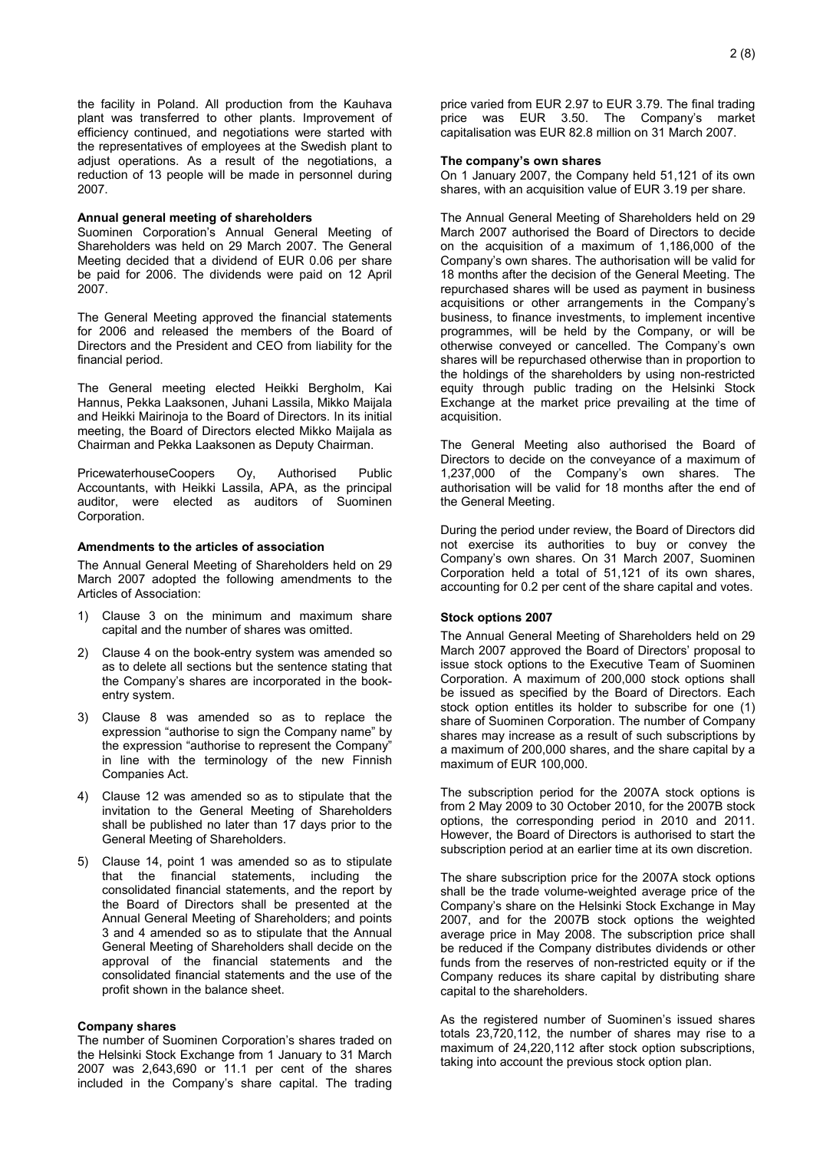the facility in Poland. All production from the Kauhava plant was transferred to other plants. Improvement of efficiency continued, and negotiations were started with the representatives of employees at the Swedish plant to adjust operations. As a result of the negotiations, a reduction of 13 people will be made in personnel during 2007.

### **Annual general meeting of shareholders**

Suominen Corporation's Annual General Meeting of Shareholders was held on 29 March 2007. The General Meeting decided that a dividend of EUR 0.06 per share be paid for 2006. The dividends were paid on 12 April 2007.

The General Meeting approved the financial statements for 2006 and released the members of the Board of Directors and the President and CEO from liability for the financial period.

The General meeting elected Heikki Bergholm, Kai Hannus, Pekka Laaksonen, Juhani Lassila, Mikko Maijala and Heikki Mairinoja to the Board of Directors. In its initial meeting, the Board of Directors elected Mikko Maijala as Chairman and Pekka Laaksonen as Deputy Chairman.

PricewaterhouseCoopers Oy, Authorised Public Accountants, with Heikki Lassila, APA, as the principal auditor, were elected as auditors of Suominen Corporation.

#### **Amendments to the articles of association**

The Annual General Meeting of Shareholders held on 29 March 2007 adopted the following amendments to the Articles of Association:

- 1) Clause 3 on the minimum and maximum share capital and the number of shares was omitted.
- 2) Clause 4 on the book-entry system was amended so as to delete all sections but the sentence stating that the Company's shares are incorporated in the bookentry system.
- 3) Clause 8 was amended so as to replace the expression "authorise to sign the Company name" by the expression "authorise to represent the Company" in line with the terminology of the new Finnish Companies Act.
- 4) Clause 12 was amended so as to stipulate that the invitation to the General Meeting of Shareholders shall be published no later than 17 days prior to the General Meeting of Shareholders.
- 5) Clause 14, point 1 was amended so as to stipulate that the financial statements, including the consolidated financial statements, and the report by the Board of Directors shall be presented at the Annual General Meeting of Shareholders; and points 3 and 4 amended so as to stipulate that the Annual General Meeting of Shareholders shall decide on the approval of the financial statements and the consolidated financial statements and the use of the profit shown in the balance sheet.

#### **Company shares**

The number of Suominen Corporation's shares traded on the Helsinki Stock Exchange from 1 January to 31 March 2007 was 2,643,690 or 11.1 per cent of the shares included in the Company's share capital. The trading

price varied from EUR 2.97 to EUR 3.79. The final trading price was EUR 3.50. The Company's market capitalisation was EUR 82.8 million on 31 March 2007.

### **The company's own shares**

On 1 January 2007, the Company held 51,121 of its own shares, with an acquisition value of EUR 3.19 per share.

The Annual General Meeting of Shareholders held on 29 March 2007 authorised the Board of Directors to decide on the acquisition of a maximum of 1,186,000 of the Company's own shares. The authorisation will be valid for 18 months after the decision of the General Meeting. The repurchased shares will be used as payment in business acquisitions or other arrangements in the Company's business, to finance investments, to implement incentive programmes, will be held by the Company, or will be otherwise conveyed or cancelled. The Company's own shares will be repurchased otherwise than in proportion to the holdings of the shareholders by using non-restricted equity through public trading on the Helsinki Stock Exchange at the market price prevailing at the time of acquisition.

The General Meeting also authorised the Board of Directors to decide on the conveyance of a maximum of 1,237,000 of the Company's own shares. The authorisation will be valid for 18 months after the end of the General Meeting.

During the period under review, the Board of Directors did not exercise its authorities to buy or convey the Company's own shares. On 31 March 2007, Suominen Corporation held a total of 51,121 of its own shares, accounting for 0.2 per cent of the share capital and votes.

#### **Stock options 2007**

The Annual General Meeting of Shareholders held on 29 March 2007 approved the Board of Directors' proposal to issue stock options to the Executive Team of Suominen Corporation. A maximum of 200,000 stock options shall be issued as specified by the Board of Directors. Each stock option entitles its holder to subscribe for one (1) share of Suominen Corporation. The number of Company shares may increase as a result of such subscriptions by a maximum of 200,000 shares, and the share capital by a maximum of EUR 100,000.

The subscription period for the 2007A stock options is from 2 May 2009 to 30 October 2010, for the 2007B stock options, the corresponding period in 2010 and 2011. However, the Board of Directors is authorised to start the subscription period at an earlier time at its own discretion.

The share subscription price for the 2007A stock options shall be the trade volume-weighted average price of the Company's share on the Helsinki Stock Exchange in May 2007, and for the 2007B stock options the weighted average price in May 2008. The subscription price shall be reduced if the Company distributes dividends or other funds from the reserves of non-restricted equity or if the Company reduces its share capital by distributing share capital to the shareholders.

As the registered number of Suominen's issued shares totals 23,720,112, the number of shares may rise to a maximum of 24,220,112 after stock option subscriptions, taking into account the previous stock option plan.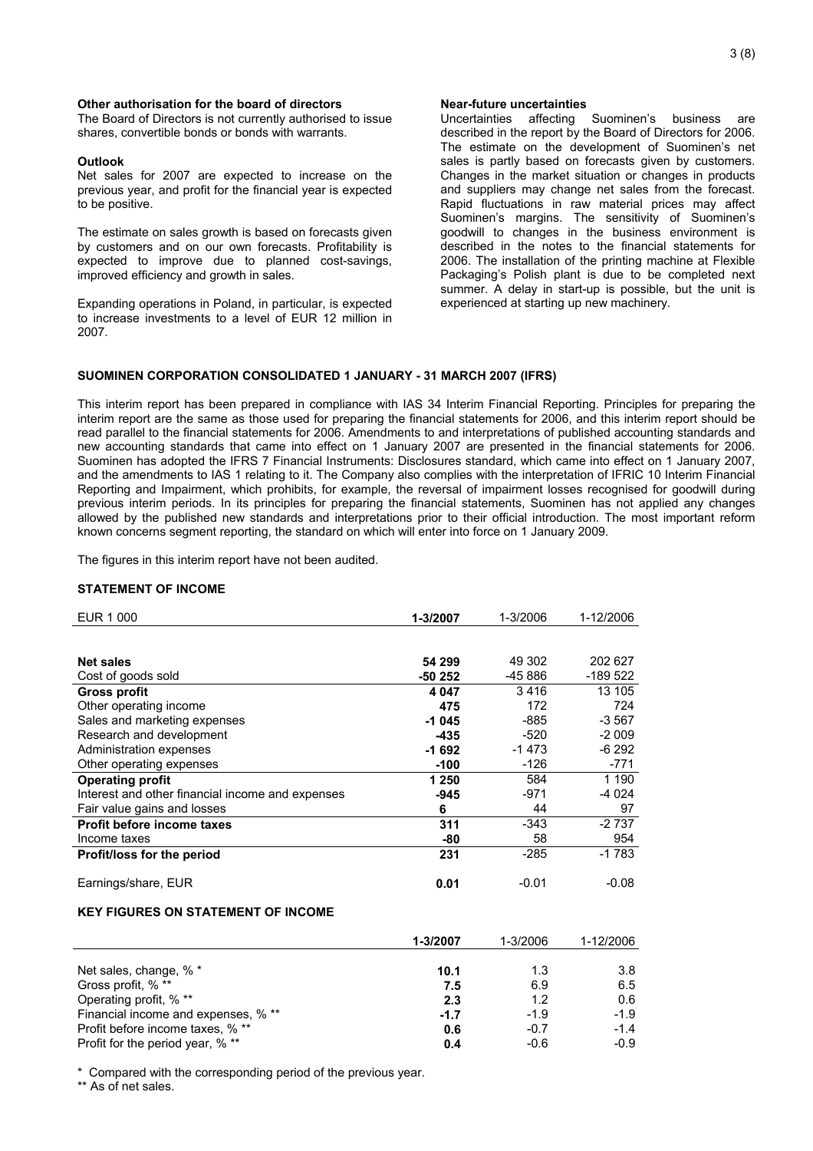The Board of Directors is not currently authorised to issue shares, convertible bonds or bonds with warrants.

### **Outlook**

Net sales for 2007 are expected to increase on the previous year, and profit for the financial year is expected to be positive.

The estimate on sales growth is based on forecasts given by customers and on our own forecasts. Profitability is expected to improve due to planned cost-savings, improved efficiency and growth in sales.

Expanding operations in Poland, in particular, is expected to increase investments to a level of EUR 12 million in 2007.

## **Near-future uncertainties**

Uncertainties affecting Suominen's business described in the report by the Board of Directors for 2006. The estimate on the development of Suominen's net sales is partly based on forecasts given by customers. Changes in the market situation or changes in products and suppliers may change net sales from the forecast. Rapid fluctuations in raw material prices may affect Suominen's margins. The sensitivity of Suominen's goodwill to changes in the business environment is described in the notes to the financial statements for 2006. The installation of the printing machine at Flexible Packaging's Polish plant is due to be completed next summer. A delay in start-up is possible, but the unit is experienced at starting up new machinery.

## **SUOMINEN CORPORATION CONSOLIDATED 1 JANUARY - 31 MARCH 2007 (IFRS)**

This interim report has been prepared in compliance with IAS 34 Interim Financial Reporting. Principles for preparing the interim report are the same as those used for preparing the financial statements for 2006, and this interim report should be read parallel to the financial statements for 2006. Amendments to and interpretations of published accounting standards and new accounting standards that came into effect on 1 January 2007 are presented in the financial statements for 2006. Suominen has adopted the IFRS 7 Financial Instruments: Disclosures standard, which came into effect on 1 January 2007, and the amendments to IAS 1 relating to it. The Company also complies with the interpretation of IFRIC 10 Interim Financial Reporting and Impairment, which prohibits, for example, the reversal of impairment losses recognised for goodwill during previous interim periods. In its principles for preparing the financial statements, Suominen has not applied any changes allowed by the published new standards and interpretations prior to their official introduction. The most important reform known concerns segment reporting, the standard on which will enter into force on 1 January 2009.

The figures in this interim report have not been audited.

### **STATEMENT OF INCOME**

| EUR 1 000                                        | 1-3/2007 | 1-3/2006 | 1-12/2006 |
|--------------------------------------------------|----------|----------|-----------|
|                                                  |          |          |           |
| <b>Net sales</b>                                 | 54 299   | 49 302   | 202 627   |
| Cost of goods sold                               | -50 252  | -45 886  | -189 522  |
| <b>Gross profit</b>                              | 4 0 4 7  | 3416     | 13 105    |
| Other operating income                           | 475      | 172      | 724       |
| Sales and marketing expenses                     | $-1045$  | -885     | $-3567$   |
| Research and development                         | $-435$   | -520     | $-2009$   |
| Administration expenses                          | $-1692$  | -1473    | $-6292$   |
| Other operating expenses                         | -100     | -126     | -771      |
| <b>Operating profit</b>                          | 1 250    | 584      | 1 1 9 0   |
| Interest and other financial income and expenses | $-945$   | -971     | $-4024$   |
| Fair value gains and losses                      | 6        | 44       | 97        |
| Profit before income taxes                       | 311      | -343     | $-2737$   |
| Income taxes                                     | -80      | 58       | 954       |
| Profit/loss for the period                       | 231      | -285     | $-1783$   |
|                                                  |          |          |           |
| Earnings/share, EUR                              | 0.01     | $-0.01$  | $-0.08$   |

## **KEY FIGURES ON STATEMENT OF INCOME**

|                                     | 1-3/2007 | 1-3/2006 | 1-12/2006 |
|-------------------------------------|----------|----------|-----------|
|                                     |          |          |           |
| Net sales, change, % *              | 10.1     | 1.3      | 3.8       |
| Gross profit, % **                  | 7.5      | 6.9      | 6.5       |
| Operating profit, % **              | 2.3      | 1.2      | 0.6       |
| Financial income and expenses, % ** | $-1.7$   | $-1.9$   | $-1.9$    |
| Profit before income taxes, % **    | 0.6      | $-0.7$   | $-1.4$    |
| Profit for the period year, % **    | 0.4      | $-0.6$   | $-0.9$    |

\* Compared with the corresponding period of the previous year.

\*\* As of net sales.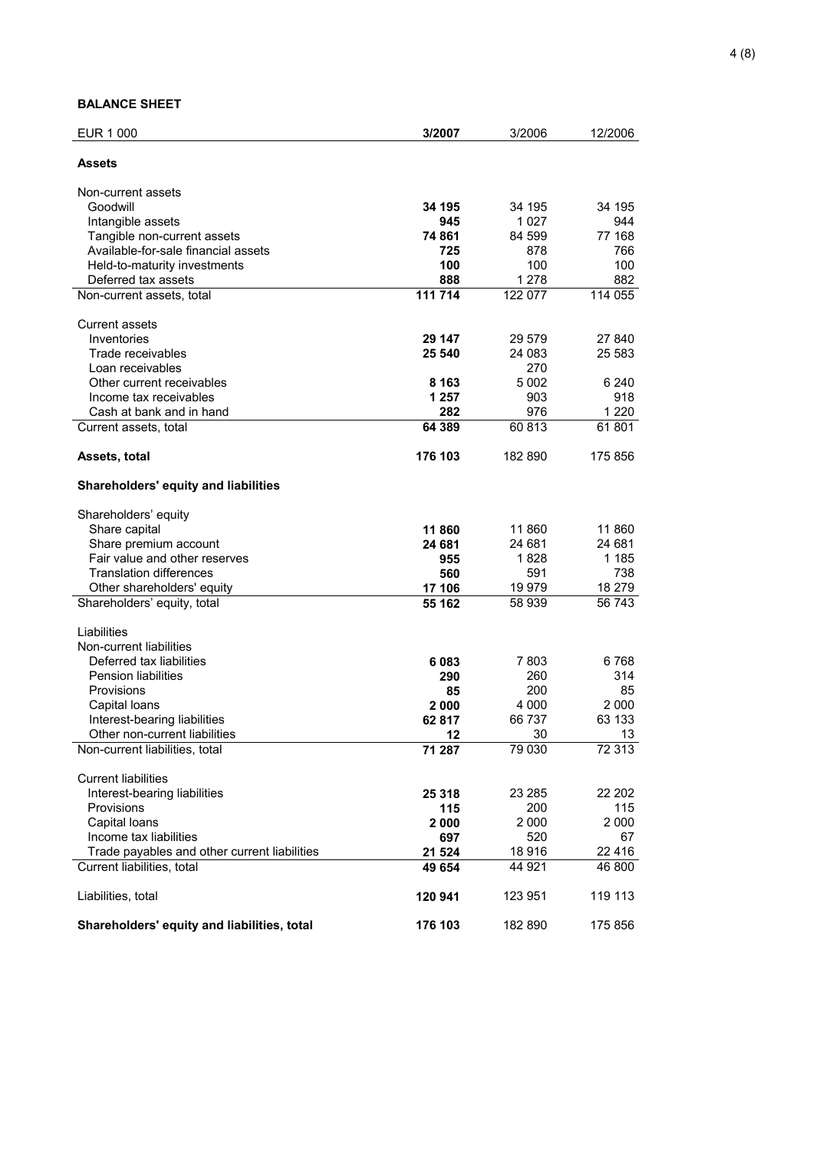# **BALANCE SHEET**

| EUR 1 000                                    | 3/2007  | 3/2006  | 12/2006 |
|----------------------------------------------|---------|---------|---------|
| Assets                                       |         |         |         |
| Non-current assets                           |         |         |         |
| Goodwill                                     | 34 195  | 34 195  | 34 195  |
| Intangible assets                            | 945     | 1 0 2 7 | 944     |
| Tangible non-current assets                  | 74 861  | 84 599  | 77 168  |
| Available-for-sale financial assets          | 725     | 878     | 766     |
| Held-to-maturity investments                 | 100     | 100     | 100     |
| Deferred tax assets                          | 888     | 1 2 7 8 | 882     |
| Non-current assets, total                    | 111 714 | 122 077 | 114 055 |
| <b>Current assets</b>                        |         |         |         |
| Inventories                                  | 29 147  | 29 579  | 27 840  |
| Trade receivables                            | 25 540  | 24 083  | 25 583  |
| Loan receivables                             |         | 270     |         |
| Other current receivables                    | 8 1 6 3 | 5 0 0 2 | 6 240   |
| Income tax receivables                       | 1 257   | 903     | 918     |
| Cash at bank and in hand                     | 282     | 976     | 1 2 2 0 |
| Current assets, total                        | 64 389  | 60 813  | 61801   |
| Assets, total                                | 176 103 | 182890  | 175 856 |
| Shareholders' equity and liabilities         |         |         |         |
| Shareholders' equity                         |         |         |         |
| Share capital                                | 11860   | 11860   | 11 860  |
| Share premium account                        | 24 681  | 24 681  | 24 681  |
| Fair value and other reserves                | 955     | 1828    | 1 1 8 5 |
| <b>Translation differences</b>               | 560     | 591     | 738     |
| Other shareholders' equity                   | 17 106  | 19 979  | 18 279  |
| Shareholders' equity, total                  | 55 162  | 58 939  | 56 743  |
| Liabilities                                  |         |         |         |
| Non-current liabilities                      |         |         |         |
| Deferred tax liabilities                     | 6083    | 7803    | 6768    |
| <b>Pension liabilities</b>                   | 290     | 260     | 314     |
| Provisions                                   | 85      | 200     | 85      |
| Capital loans                                | 2000    | 4 0 0 0 | 2 000   |
| Interest-bearing liabilities                 | 62 817  | 66 737  | 63 133  |
| Other non-current liabilities                | 12      | 30      |         |
| Non-current liabilities, total               | 71 287  | 79 030  | 72 313  |
| <b>Current liabilities</b>                   |         |         |         |
| Interest-bearing liabilities                 | 25 318  | 23 285  | 22 202  |
| Provisions                                   | 115     | 200     | 115     |
| Capital loans                                | 2 0 0 0 | 2 0 0 0 | 2 0 0 0 |
| Income tax liabilities                       | 697     | 520     | 67      |
| Trade payables and other current liabilities | 21 5 24 | 18 916  | 22 416  |
| Current liabilities, total                   | 49 654  | 44 921  | 46 800  |
| Liabilities, total                           | 120 941 | 123 951 | 119 113 |
| Shareholders' equity and liabilities, total  | 176 103 | 182 890 | 175 856 |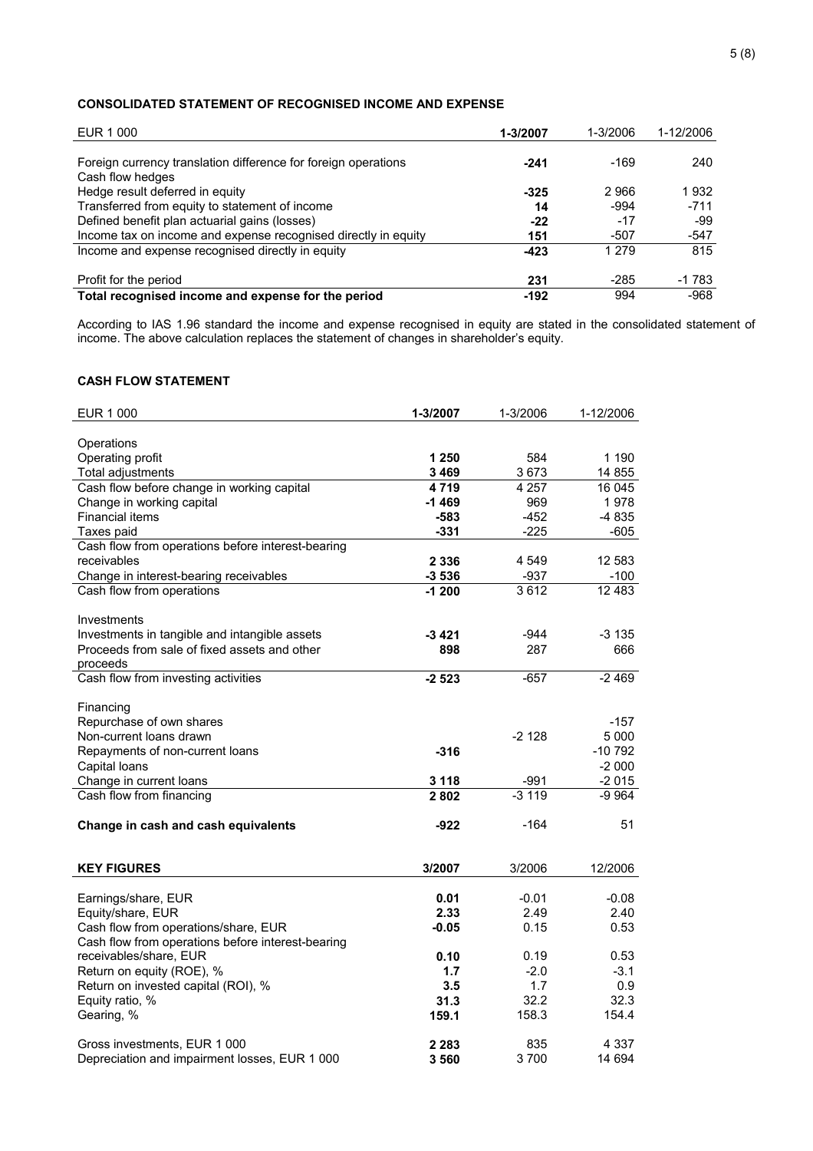# **CONSOLIDATED STATEMENT OF RECOGNISED INCOME AND EXPENSE**

| EUR 1 000                                                      | 1-3/2007 | 1-3/2006 | 1-12/2006 |
|----------------------------------------------------------------|----------|----------|-----------|
|                                                                |          |          |           |
| Foreign currency translation difference for foreign operations | $-241$   | -169     | 240       |
| Cash flow hedges                                               |          |          |           |
| Hedge result deferred in equity                                | $-325$   | 2966     | 1932      |
| Transferred from equity to statement of income                 | 14       | -994     | $-711$    |
| Defined benefit plan actuarial gains (losses)                  | $-22$    | -17      | -99       |
| Income tax on income and expense recognised directly in equity | 151      | -507     | $-547$    |
| Income and expense recognised directly in equity               | $-423$   | 1 279    | 815       |
| Profit for the period                                          | 231      | $-285$   | $-1783$   |
| Total recognised income and expense for the period             | $-192$   | 994      | $-968$    |

According to IAS 1.96 standard the income and expense recognised in equity are stated in the consolidated statement of income. The above calculation replaces the statement of changes in shareholder's equity.

## **CASH FLOW STATEMENT**

| <b>EUR 1 000</b>                                  | 1-3/2007 | 1-3/2006    | 1-12/2006 |
|---------------------------------------------------|----------|-------------|-----------|
|                                                   |          |             |           |
| Operations                                        |          |             |           |
| Operating profit                                  | 1 250    | 584<br>3673 | 1 1 9 0   |
| Total adjustments                                 | 3469     |             | 14 855    |
| Cash flow before change in working capital        | 4719     | 4 2 5 7     | 16 045    |
| Change in working capital                         | $-1469$  | 969         | 1978      |
| <b>Financial items</b>                            | -583     | $-452$      | $-4835$   |
| Taxes paid                                        | $-331$   | $-225$      | $-605$    |
| Cash flow from operations before interest-bearing |          |             |           |
| receivables                                       | 2 3 3 6  | 4 5 4 9     | 12 583    |
| Change in interest-bearing receivables            | $-3536$  | $-937$      | $-100$    |
| Cash flow from operations                         | $-1200$  | 3612        | 12 483    |
| Investments                                       |          |             |           |
| Investments in tangible and intangible assets     | -3421    | $-944$      | $-3135$   |
| Proceeds from sale of fixed assets and other      | 898      | 287         | 666       |
| proceeds                                          |          |             |           |
| Cash flow from investing activities               | $-2523$  | $-657$      | $-2469$   |
| Financing                                         |          |             |           |
| Repurchase of own shares                          |          |             | -157      |
| Non-current loans drawn                           |          | $-2128$     | 5 0 0 0   |
| Repayments of non-current loans                   | $-316$   |             | $-10792$  |
| Capital loans                                     |          |             | $-2000$   |
| Change in current loans                           | 3 1 1 8  | $-991$      | $-2015$   |
| Cash flow from financing                          | 2802     | $-3119$     | $-9964$   |
| Change in cash and cash equivalents               | $-922$   | $-164$      | 51        |
| <b>KEY FIGURES</b>                                | 3/2007   | 3/2006      | 12/2006   |
|                                                   |          |             |           |
| Earnings/share, EUR                               | 0.01     | $-0.01$     | $-0.08$   |
| Equity/share, EUR                                 | 2.33     | 2.49        | 2.40      |
| Cash flow from operations/share, EUR              | $-0.05$  | 0.15        | 0.53      |
| Cash flow from operations before interest-bearing |          |             |           |
| receivables/share, EUR                            | 0.10     | 0.19        | 0.53      |
| Return on equity (ROE), %                         | 1.7      | $-2.0$      | $-3.1$    |
| Return on invested capital (ROI), %               | 3.5      | 1.7         | 0.9       |
| Equity ratio, %                                   | 31.3     | 32.2        | 32.3      |
| Gearing, %                                        | 159.1    | 158.3       | 154.4     |
| Gross investments, EUR 1 000                      | 2 2 8 3  | 835         | 4 3 3 7   |
| Depreciation and impairment losses, EUR 1 000     | 3 560    | 3700        | 14 694    |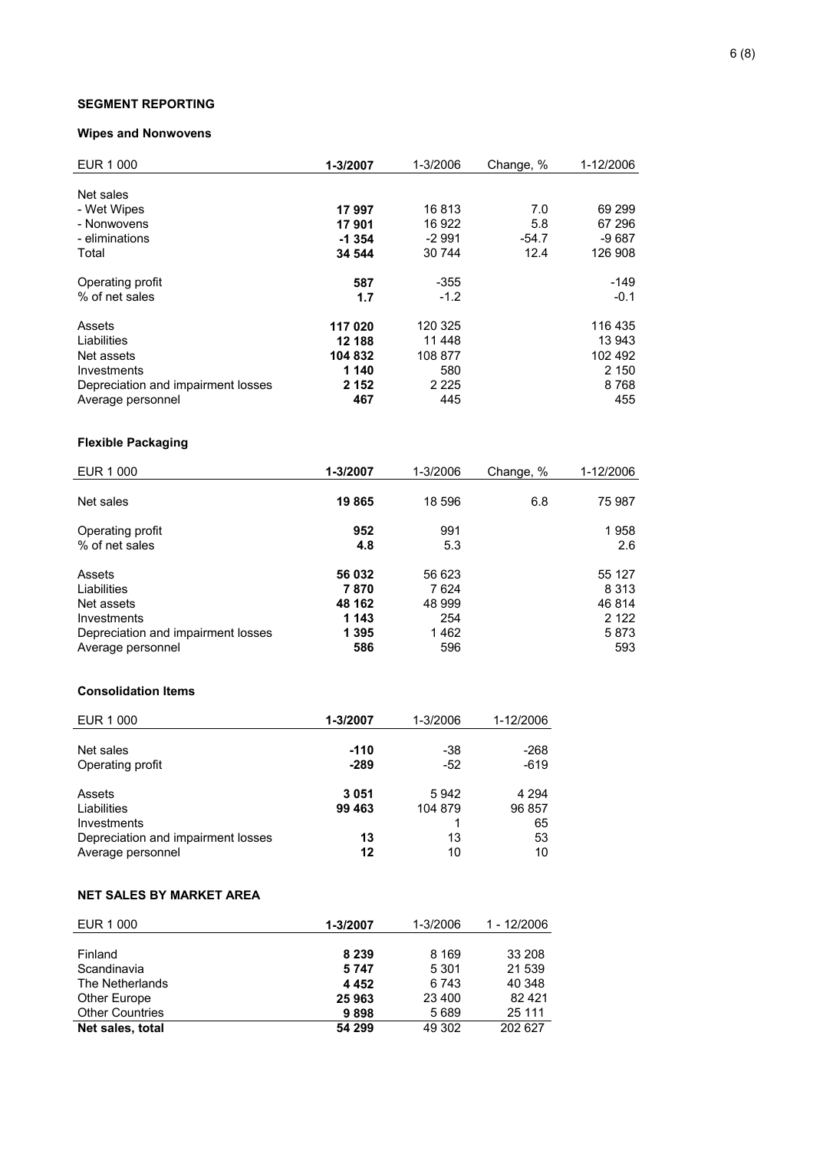# **SEGMENT REPORTING**

# **Wipes and Nonwovens**

| EUR 1 000                          | 1-3/2007 | 1-3/2006 | Change, % | 1-12/2006 |
|------------------------------------|----------|----------|-----------|-----------|
|                                    |          |          |           |           |
| Net sales                          |          |          |           |           |
| - Wet Wipes                        | 17997    | 16813    | 7.0       | 69 299    |
| - Nonwovens                        | 17901    | 16 922   | 5.8       | 67 296    |
| - eliminations                     | $-1354$  | $-2991$  | $-54.7$   | $-9687$   |
| Total                              | 34 544   | 30 744   | 12.4      | 126 908   |
| Operating profit                   | 587      | $-355$   |           | -149      |
| % of net sales                     | 1.7      | $-1.2$   |           | $-0.1$    |
| Assets                             | 117 020  | 120 325  |           | 116 435   |
| Liabilities                        | 12 188   | 11 448   |           | 13 943    |
| Net assets                         | 104 832  | 108 877  |           | 102 492   |
| Investments                        | 1 140    | 580      |           | 2 150     |
| Depreciation and impairment losses | 2 1 5 2  | 2 2 2 5  |           | 8768      |
| Average personnel                  | 467      | 445      |           | 455       |

# **Flexible Packaging**

| EUR 1 000                          | 1-3/2007 | 1-3/2006 | Change, % | 1-12/2006 |
|------------------------------------|----------|----------|-----------|-----------|
|                                    |          |          |           |           |
| Net sales                          | 19865    | 18 596   | 6.8       | 75 987    |
| Operating profit                   | 952      | 991      |           | 1958      |
| % of net sales                     | 4.8      | 5.3      |           | 2.6       |
| Assets                             | 56 032   | 56 623   |           | 55 127    |
| Liabilities                        | 7870     | 7624     |           | 8 3 1 3   |
| Net assets                         | 48 162   | 48 999   |           | 46 814    |
| Investments                        | 1 143    | 254      |           | 2 1 2 2   |
| Depreciation and impairment losses | 1 3 9 5  | 1462     |           | 5873      |
| Average personnel                  | 586      | 596      |           | 593       |

## **Consolidation Items**

| EUR 1 000                          | 1-3/2007 | 1-3/2006 | 1-12/2006 |
|------------------------------------|----------|----------|-----------|
|                                    |          |          |           |
| Net sales                          | $-110$   | -38      | -268      |
| Operating profit                   | $-289$   | -52      | $-619$    |
|                                    |          |          |           |
| Assets                             | 3 0 5 1  | 5942     | 4 2 9 4   |
| Liabilities                        | 99 463   | 104 879  | 96 857    |
| Investments                        |          |          | 65        |
| Depreciation and impairment losses | 13       | 13       | 53        |
| Average personnel                  | 12       | 10       | 10        |

# **NET SALES BY MARKET AREA**

| EUR 1 000              | 1-3/2007 | 1-3/2006 | 1 - 12/2006 |
|------------------------|----------|----------|-------------|
|                        |          |          |             |
| Finland                | 8 2 3 9  | 8 1 6 9  | 33 208      |
| Scandinavia            | 5747     | 5 3 0 1  | 21 539      |
| The Netherlands        | 4 4 5 2  | 6 743    | 40 348      |
| Other Europe           | 25 963   | 23 400   | 82 4 21     |
| <b>Other Countries</b> | 9898     | 5689     | 25 111      |
| Net sales, total       | 54 299   | 49 302   | 202 627     |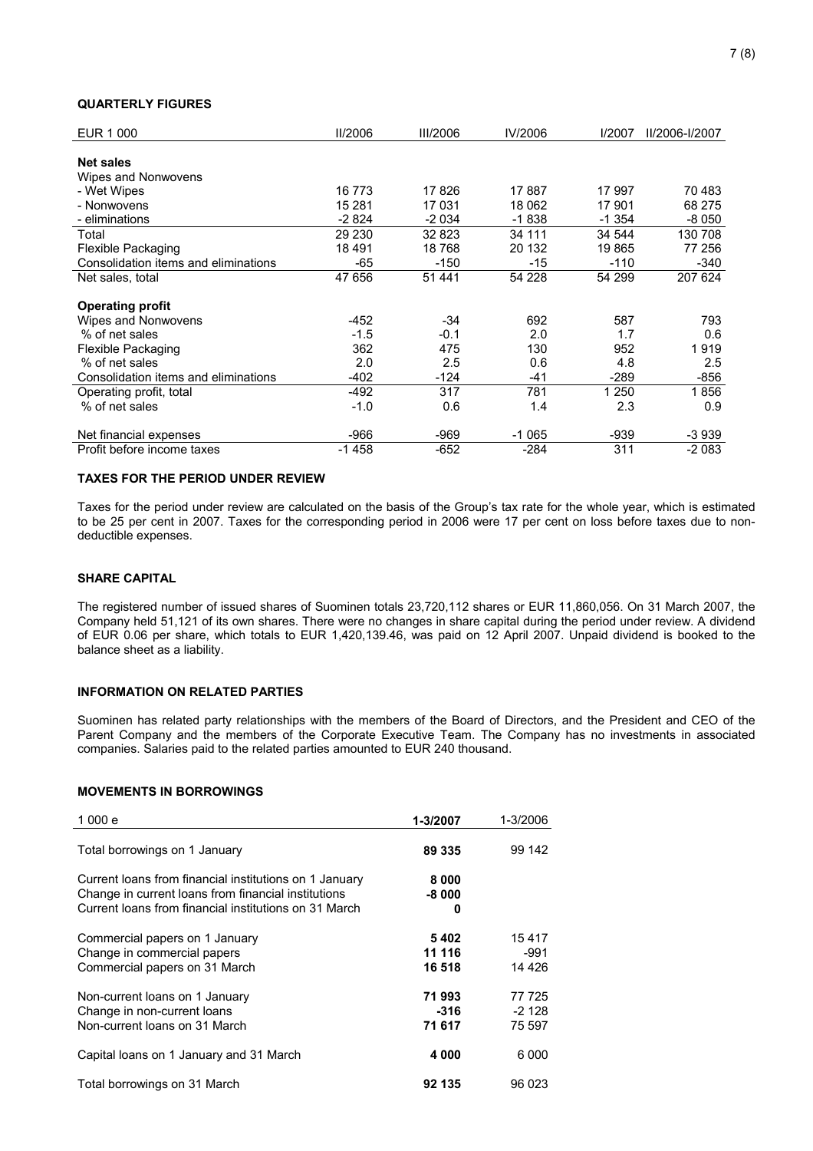## **QUARTERLY FIGURES**

| EUR 1 000                            | <b>II/2006</b> | <b>III/2006</b> | IV/2006 | I/2007   | II/2006-I/2007 |
|--------------------------------------|----------------|-----------------|---------|----------|----------------|
|                                      |                |                 |         |          |                |
| <b>Net sales</b>                     |                |                 |         |          |                |
| Wipes and Nonwovens                  |                |                 |         |          |                |
| - Wet Wipes                          | 16 773         | 17826           | 17887   | 17 997   | 70 483         |
| - Nonwovens                          | 15 281         | 17 031          | 18 062  | 17 901   | 68 275         |
| - eliminations                       | $-2824$        | $-2034$         | $-1838$ | $-1.354$ | $-8050$        |
| Total                                | 29 230         | 32 823          | 34 111  | 34 544   | 130 708        |
| Flexible Packaging                   | 18 491         | 18768           | 20 132  | 19865    | 77 256         |
| Consolidation items and eliminations | $-65$          | $-150$          | $-15$   | $-110$   | $-340$         |
| Net sales, total                     | 47 656         | 51 441          | 54 228  | 54 299   | 207 624        |
| <b>Operating profit</b>              |                |                 |         |          |                |
| Wipes and Nonwovens                  | $-452$         | -34             | 692     | 587      | 793            |
| % of net sales                       | $-1.5$         | $-0.1$          | 2.0     | 1.7      | 0.6            |
| Flexible Packaging                   | 362            | 475             | 130     | 952      | 1919           |
| % of net sales                       | 2.0            | 2.5             | 0.6     | 4.8      | 2.5            |
| Consolidation items and eliminations | $-402$         | $-124$          | $-41$   | $-289$   | $-856$         |
| Operating profit, total              | $-492$         | 317             | 781     | 1 250    | 1856           |
| % of net sales                       | -1.0           | 0.6             | 1.4     | 2.3      | 0.9            |
|                                      |                |                 |         |          |                |
| Net financial expenses               | -966           | -969            | $-1065$ | -939     | $-3939$        |
| Profit before income taxes           | $-1458$        | $-652$          | $-284$  | 311      | $-2083$        |

# **TAXES FOR THE PERIOD UNDER REVIEW**

Taxes for the period under review are calculated on the basis of the Group's tax rate for the whole year, which is estimated to be 25 per cent in 2007. Taxes for the corresponding period in 2006 were 17 per cent on loss before taxes due to nondeductible expenses.

## **SHARE CAPITAL**

The registered number of issued shares of Suominen totals 23,720,112 shares or EUR 11,860,056. On 31 March 2007, the Company held 51,121 of its own shares. There were no changes in share capital during the period under review. A dividend of EUR 0.06 per share, which totals to EUR 1,420,139.46, was paid on 12 April 2007. Unpaid dividend is booked to the balance sheet as a liability.

## **INFORMATION ON RELATED PARTIES**

Suominen has related party relationships with the members of the Board of Directors, and the President and CEO of the Parent Company and the members of the Corporate Executive Team. The Company has no investments in associated companies. Salaries paid to the related parties amounted to EUR 240 thousand.

### **MOVEMENTS IN BORROWINGS**

| 1 000 e                                                                                                                                                                | 1-3/2007                  | 1-3/2006                    |
|------------------------------------------------------------------------------------------------------------------------------------------------------------------------|---------------------------|-----------------------------|
| Total borrowings on 1 January                                                                                                                                          | 89 335                    | 99 142                      |
| Current loans from financial institutions on 1 January<br>Change in current loans from financial institutions<br>Current loans from financial institutions on 31 March | 8 000<br>-8 000<br>0      |                             |
| Commercial papers on 1 January<br>Change in commercial papers<br>Commercial papers on 31 March                                                                         | 5402<br>11 116<br>16 518  | 15417<br>-991<br>14 4 26    |
| Non-current loans on 1 January<br>Change in non-current loans<br>Non-current loans on 31 March                                                                         | 71993<br>$-316$<br>71 617 | 77 725<br>$-2128$<br>75 597 |
| Capital loans on 1 January and 31 March                                                                                                                                | 4 000                     | 6 000                       |
| Total borrowings on 31 March                                                                                                                                           | 92 135                    | 96 023                      |